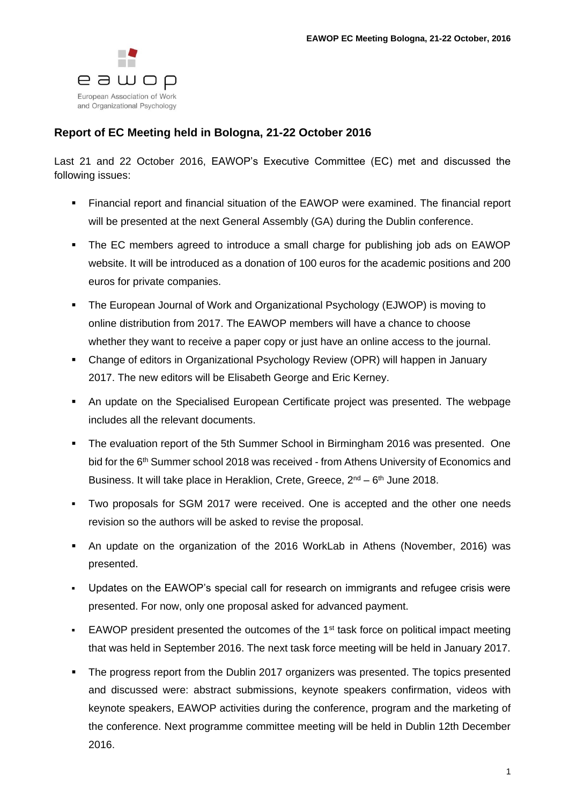

## **Report of EC Meeting held in Bologna, 21-22 October 2016**

Last 21 and 22 October 2016, EAWOP's Executive Committee (EC) met and discussed the following issues:

- Financial report and financial situation of the EAWOP were examined. The financial report will be presented at the next General Assembly (GA) during the Dublin conference.
- The EC members agreed to introduce a small charge for publishing job ads on EAWOP website. It will be introduced as a donation of 100 euros for the academic positions and 200 euros for private companies.
- The European Journal of Work and Organizational Psychology (EJWOP) is moving to online distribution from 2017. The EAWOP members will have a chance to choose whether they want to receive a paper copy or just have an online access to the journal.
- Change of editors in Organizational Psychology Review (OPR) will happen in January 2017. The new editors will be Elisabeth George and Eric Kerney.
- An update on the Specialised European Certificate project was presented. The webpage includes all the relevant documents.
- The evaluation report of the 5th Summer School in Birmingham 2016 was presented. One bid for the 6<sup>th</sup> Summer school 2018 was received - from Athens University of Economics and Business. It will take place in Heraklion, Crete, Greece, 2<sup>nd</sup> – 6<sup>th</sup> June 2018.
- Two proposals for SGM 2017 were received. One is accepted and the other one needs revision so the authors will be asked to revise the proposal.
- An update on the organization of the 2016 WorkLab in Athens (November, 2016) was presented.
- Updates on the EAWOP's special call for research on immigrants and refugee crisis were presented. For now, only one proposal asked for advanced payment.
- **EAWOP** president presented the outcomes of the  $1<sup>st</sup>$  task force on political impact meeting that was held in September 2016. The next task force meeting will be held in January 2017.
- The progress report from the Dublin 2017 organizers was presented. The topics presented and discussed were: abstract submissions, keynote speakers confirmation, videos with keynote speakers, EAWOP activities during the conference, program and the marketing of the conference. Next programme committee meeting will be held in Dublin 12th December 2016.